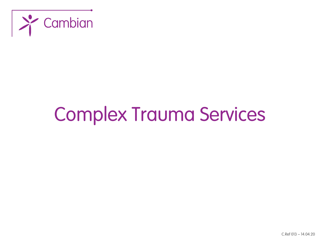

# Complex Trauma Services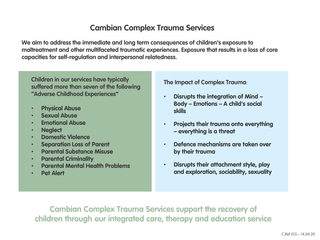#### **Cambian Complex Trauma Services**

**We aim to address the immediate and long term consequences of children's exposure to maltreatment and other multifaceted traumatic experiences. Exposure that results in a loss of core capacities for self-regulation and interpersonal relatedness.**

**Children in our services have typically suffered more than seven of the following "Adverse Childhood Experiences"**

- Physical Abuse
- **Sexual Abuse**
- Emotional Abuse
- Neglect
- Domestic Violence
- Separation Loss of Parent
- Parental Substance Misuse
- Parental Criminality
- Parental Mental Health Problems
- Pet Alert

**The Impact of Complex Trauma**:

- Disrupts the integration of Mind Body – Emotions – A child's social skills
- Projects their trauma onto everything – everything is a threat
- Defence mechanisms are taken over by their trauma
- Disrupts their attachment style, play and exploration, sociability, sexuality

**Cambian Complex Trauma Services support the recovery of children through our integrated care, therapy and education service**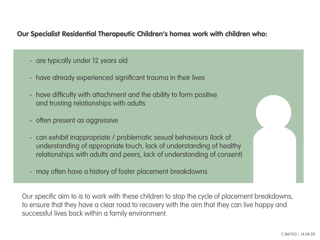#### Our Specialist Residential Therapeutic Children's homes work with children who:

- are typically under 12 years old
- have already experienced significant trauma in their lives
- have difficulty with attachment and the ability to form positive and trusting relationships with adults
- often present as aggressive
- can exhibit inappropriate / problematic sexual behaviours (lack of understanding of appropriate touch, lack of understanding of healthy relationships with adults and peers, lack of understanding of consent)
- may often have a history of foster placement breakdowns

Our specific aim to is to work with these children to stop the cycle of placement breakdowns, to ensure that they have a clear road to recovery with the aim that they can live happy and successful lives back within a family environment.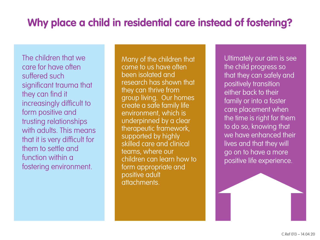# **Why place a child in residential care instead of fostering?**

The children that we care for have often suffered such significant trauma that they can find it increasingly difficult to form positive and trusting relationships with adults. This means that it is very difficult for them to settle and function within a fostering environment.

Many of the children that come to us have often been isolated and research has shown that they can thrive from group living. Our homes create a safe family life environment, which is underpinned by a clear therapeutic framework, supported by highly skilled care and clinical teams, where our children can learn how to form appropriate and positive adult attachments.

Ultimately our aim is see the child progress so that they can safely and positively transition either back to their family or into a foster care placement when the time is right for them to do so, knowing that we have enhanced their lives and that they will go on to have a more positive life experience.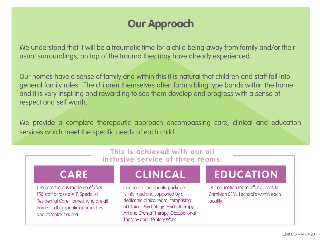### Our Approach

We understand that it will be a traumatic time for a child being away from family and/or their usual surroundings, on top of the trauma they may have already experienced.

Our homes have a sense of family and within this it is natural that children and staff fall into general family roles. The children themselves often form sibling type bonds within the home and it is very inspiring and rewarding to see them develop and progress with a sense of respect and self worth.

We provide a complete therapeutic approach encompassing care, clinical and education services which meet the specific needs of each child.

#### This is achieved with our all inclusive service of three teams:

#### **CARE**

The care team is made up of over 150 staff across our 11 Specialist Residential Care Homes, who are all trained in therapeutic approaches and complex trauma.

# **CLINICAL**

Our holistic therapeutic package is informed and supported by a dedicated clinical team, comprising of Clinical Psychology, Psychotherapy, Art and Drama Therapy, Occupational Therapy and Life Story Work.

# **EDUCATION**

Our education team offer access to Cambian SEMH school's within each locality.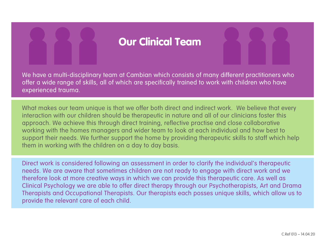### Our Clinical Team

We have a multi-disciplinary team at Cambian which consists of many different practitioners who offer a wide range of skills, all of which are specifically trained to work with children who have experienced trauma.

What makes our team unique is that we offer both direct and indirect work. We believe that every interaction with our children should be therapeutic in nature and all of our clinicians foster this approach. We achieve this through direct training, reflective practise and close collaborative working with the homes managers and wider team to look at each individual and how best to support their needs. We further support the home by providing therapeutic skills to staff which help them in working with the children on a day to day basis.

Direct work is considered following an assessment in order to clarify the individual's therapeutic needs. We are aware that sometimes children are not ready to engage with direct work and we therefore look at more creative ways in which we can provide this therapeutic care. As well as Clinical Psychology we are able to offer direct therapy through our Psychotherapists, Art and Drama Therapists and Occupational Therapists. Our therapists each posses unique skills, which allow us to provide the relevant care of each child.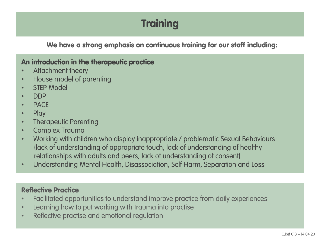# **Training**

We have a strong emphasis on continuous training for our staff including:

#### An introduction in the therapeutic practice

- Attachment theory
- House model of parenting
- STEP Model
- DDP
- PACE
- Play
- Therapeutic Parenting
- Complex Trauma
- Working with children who display inappropriate / problematic Sexual Behaviours (lack of understanding of appropriate touch, lack of understanding of healthy relationships with adults and peers, lack of understanding of consent)
- Understanding Mental Health, Disassociation, Self Harm, Separation and Loss

#### Reflective Practice

- Facilitated opportunities to understand improve practice from daily experiences
- Learning how to put working with trauma into practise
- Reflective practise and emotional regulation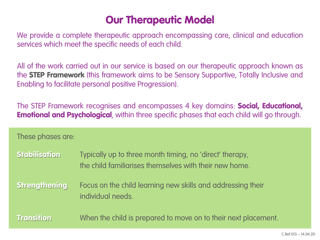### Our Therapeutic Model

We provide a complete therapeutic approach encompassing care, clinical and education services which meet the specific needs of each child.

All of the work carried out in our service is based on our therapeutic approach known as the STEP Framework (this framework aims to be Sensory Supportive, Totally Inclusive and Enabling to facilitate personal positive Progression).

The STEP Framework recognises and encompasses 4 key domains: **Social, Educational, Emotional and Psychological**, within three specific phases that each child will go through.

These phases are:

Stabilisation Typically up to three month timing, no 'direct' therapy, the child familiarises themselves with their new home.

Strengthening Focus on the child learning new skills and addressing their individual needs.

Transition When the child is prepared to move on to their next placement.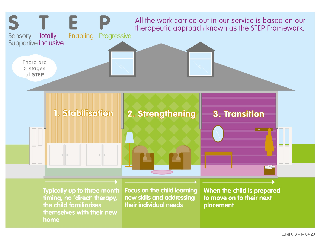

timing, no 'direct' therapy, the child familiarises themselves with their new home

new skills and addressing their individual needs

to move on to their next placement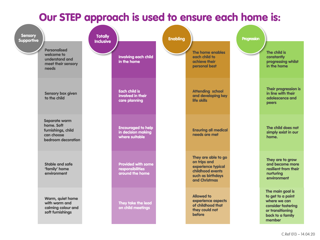### Our STEP approach is used to ensure each home is:

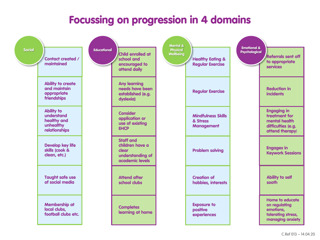### Focussing on progression in 4 domains

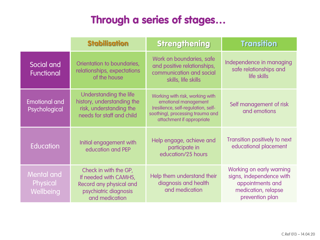# Through a series of stages…

|                                            | <b>Stabilisation</b>                                                                                                 | <b>Strengthening</b>                                                                                                                                            | <b>Transition</b>                                                                                                  |
|--------------------------------------------|----------------------------------------------------------------------------------------------------------------------|-----------------------------------------------------------------------------------------------------------------------------------------------------------------|--------------------------------------------------------------------------------------------------------------------|
| Social and<br>Functional                   | Orientation to boundaries,<br>relationships, expectations<br>of the house                                            | Work on boundaries, safe<br>and positive relationships,<br>communication and social<br>skills, life skills                                                      | Independence in managing<br>safe relationships and<br>life skills                                                  |
| <b>Emotional and</b><br>Psychological      | Understanding the life<br>history, understanding the<br>risk, understanding the<br>needs for staff and child         | Working with risk, working with<br>emotional management<br>(resilience, self-regulation, self-<br>soothing), processing trauma and<br>attachment if appropriate | Self management of risk<br>and emotions                                                                            |
| <b>Education</b>                           | Initial engagement with<br>education and PEP                                                                         | Help engage, achieve and<br>participate in<br>education/25 hours                                                                                                | Transition positively to next<br>educational placement                                                             |
| <b>Mental and</b><br>Physical<br>Wellbeing | Check in with the GP,<br>If needed with CAMHS,<br>Record any physical and<br>psychiatric diagnosis<br>and medication | Help them understand their<br>diagnosis and health<br>and medication                                                                                            | Working on early warning<br>signs, independence with<br>appointments and<br>medication, relapse<br>prevention plan |